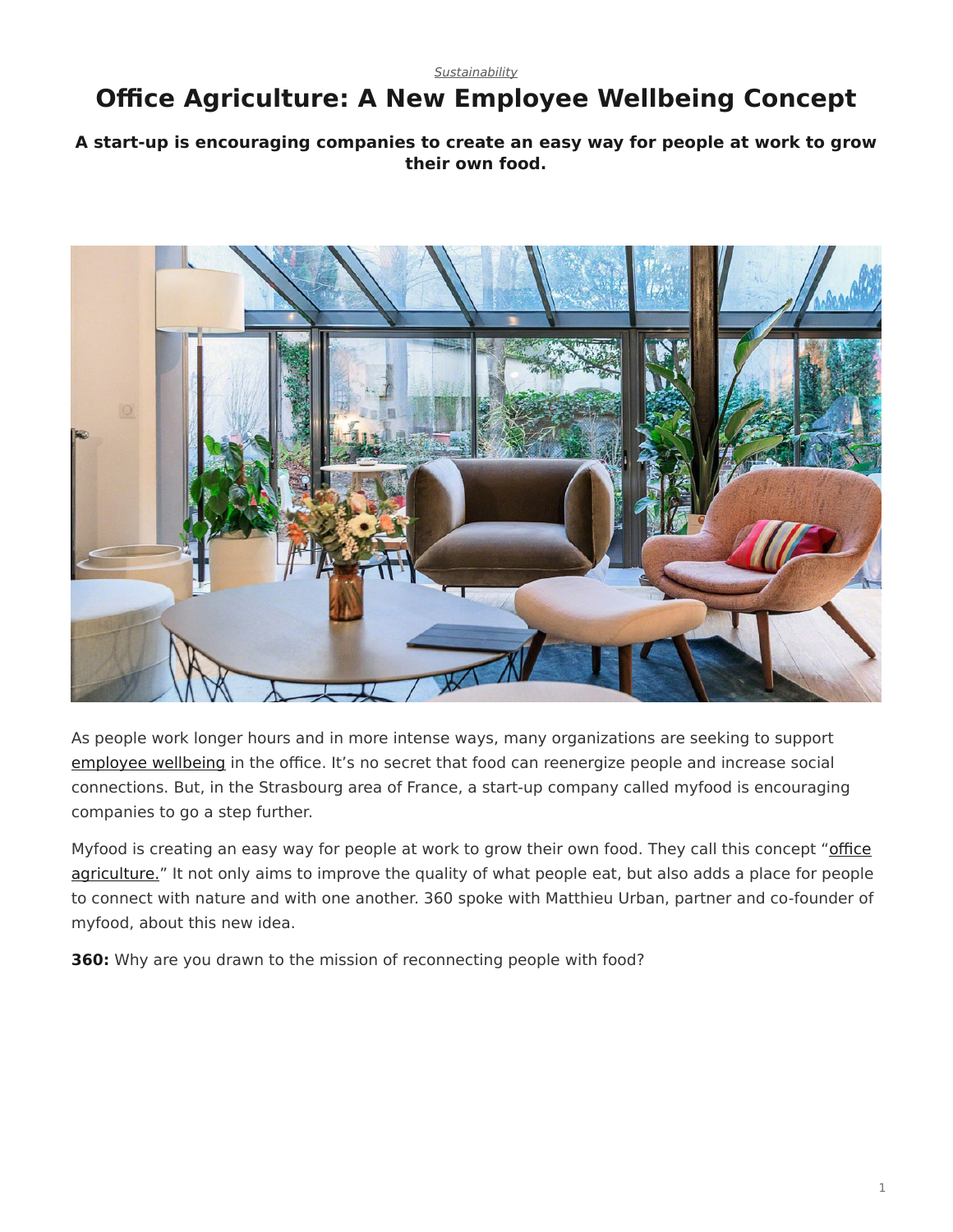## <span id="page-0-0"></span>**Office Agriculture: A New Employee Wellbeing Concept**

## **A start-up is encouraging companies to create an easy way for people at work to grow their own food.**



As people work longer hours and in more intense ways, many organizations are seeking to support [employee wellbeing](https://www.steelcase.com/research/360-magazine/wellbeing-a-bottom-line-issue/) in the office. It's no secret that food can reenergize people and increase social connections. But, in the Strasbourg area of France, a start-up company called myfood is encouraging companies to go a step further.

Myfood is creating an easy way for people at work to grow their own food. They call this concept "[office](https://www.steelcase.com/spaces-inspiration/resilient-workplace/workcafe/) [agriculture."](https://www.steelcase.com/spaces-inspiration/resilient-workplace/workcafe/) It not only aims to improve the quality of what people eat, but also adds a place for people to connect with nature and with one another. 360 spoke with Matthieu Urban, partner and co-founder of myfood, about this new idea.

**360:** Why are you drawn to the mission of reconnecting people with food?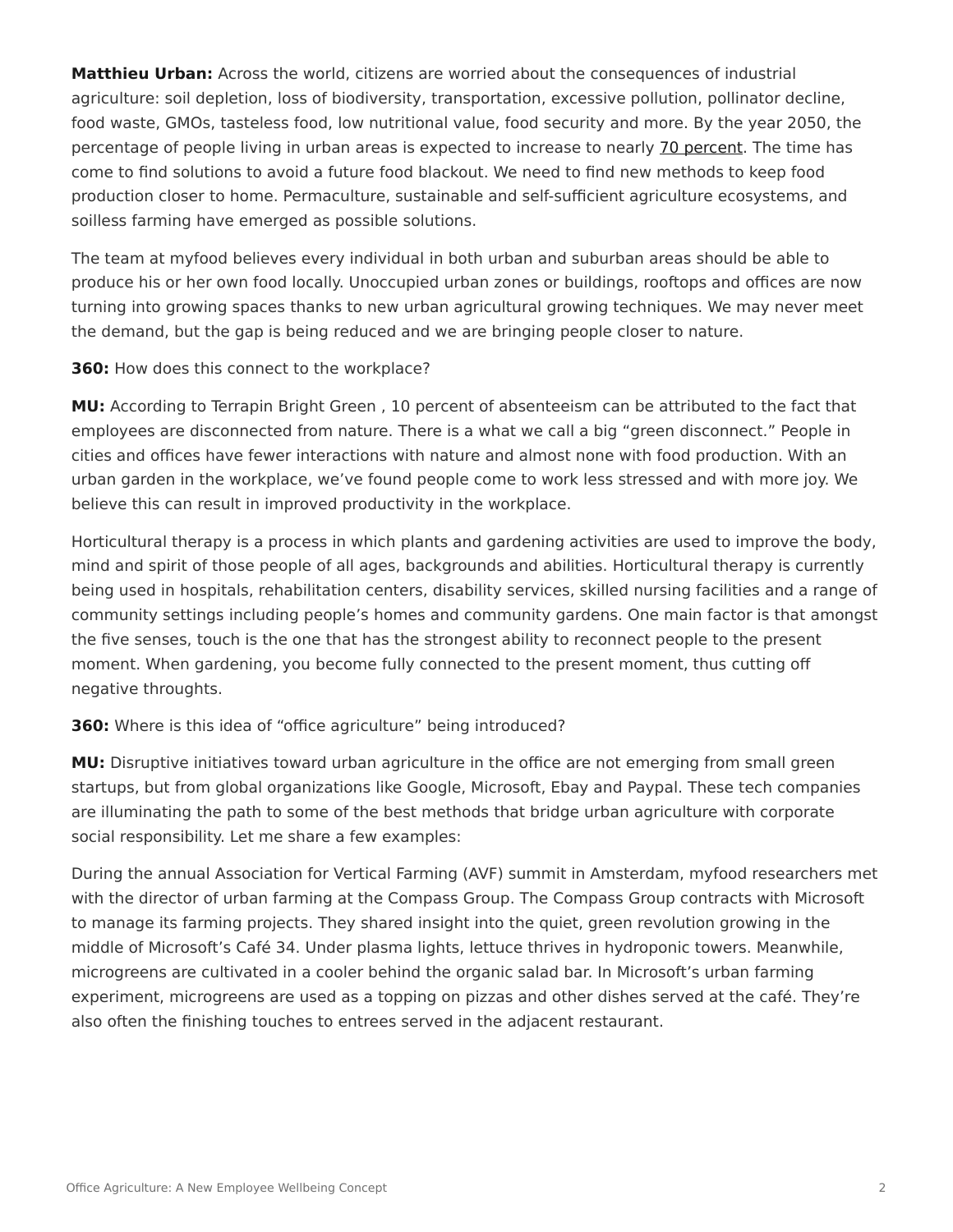**Matthieu Urban:** Across the world, citizens are worried about the consequences of industrial agriculture: soil depletion, loss of biodiversity, transportation, excessive pollution, pollinator decline, food waste, GMOs, tasteless food, low nutritional value, food security and more. By the year 2050, the percentage of people living in urban areas is expected to increase to nearly [70 percent](https://www.un.org/development/desa/en/news/population/2018-revision-of-world-urbanization-prospects.html). The time has come to find solutions to avoid a future food blackout. We need to find new methods to keep food production closer to home. Permaculture, sustainable and self-sufficient agriculture ecosystems, and soilless farming have emerged as possible solutions.

The team at myfood believes every individual in both urban and suburban areas should be able to produce his or her own food locally. Unoccupied urban zones or buildings, rooftops and offices are now turning into growing spaces thanks to new urban agricultural growing techniques. We may never meet the demand, but the gap is being reduced and we are bringing people closer to nature.

**360:** How does this connect to the workplace?

**MU:** According to Terrapin Bright Green , 10 percent of absenteeism can be attributed to the fact that employees are disconnected from nature. There is a what we call a big "green disconnect." People in cities and offices have fewer interactions with nature and almost none with food production. With an urban garden in the workplace, we've found people come to work less stressed and with more joy. We believe this can result in improved productivity in the workplace.

Horticultural therapy is a process in which plants and gardening activities are used to improve the body, mind and spirit of those people of all ages, backgrounds and abilities. Horticultural therapy is currently being used in hospitals, rehabilitation centers, disability services, skilled nursing facilities and a range of community settings including people's homes and community gardens. One main factor is that amongst the five senses, touch is the one that has the strongest ability to reconnect people to the present moment. When gardening, you become fully connected to the present moment, thus cutting off negative throughts.

## **360:** Where is this idea of "office agriculture" being introduced?

**MU:** Disruptive initiatives toward urban agriculture in the office are not emerging from small green startups, but from global organizations like Google, Microsoft, Ebay and Paypal. These tech companies are illuminating the path to some of the best methods that bridge urban agriculture with corporate social responsibility. Let me share a few examples:

During the annual Association for Vertical Farming (AVF) summit in Amsterdam, myfood researchers met with the director of urban farming at the Compass Group. The Compass Group contracts with Microsoft to manage its farming projects. They shared insight into the quiet, green revolution growing in the middle of Microsoft's Café 34. Under plasma lights, lettuce thrives in hydroponic towers. Meanwhile, microgreens are cultivated in a cooler behind the organic salad bar. In Microsoft's urban farming experiment, microgreens are used as a topping on pizzas and other dishes served at the café. They're also often the finishing touches to entrees served in the adjacent restaurant.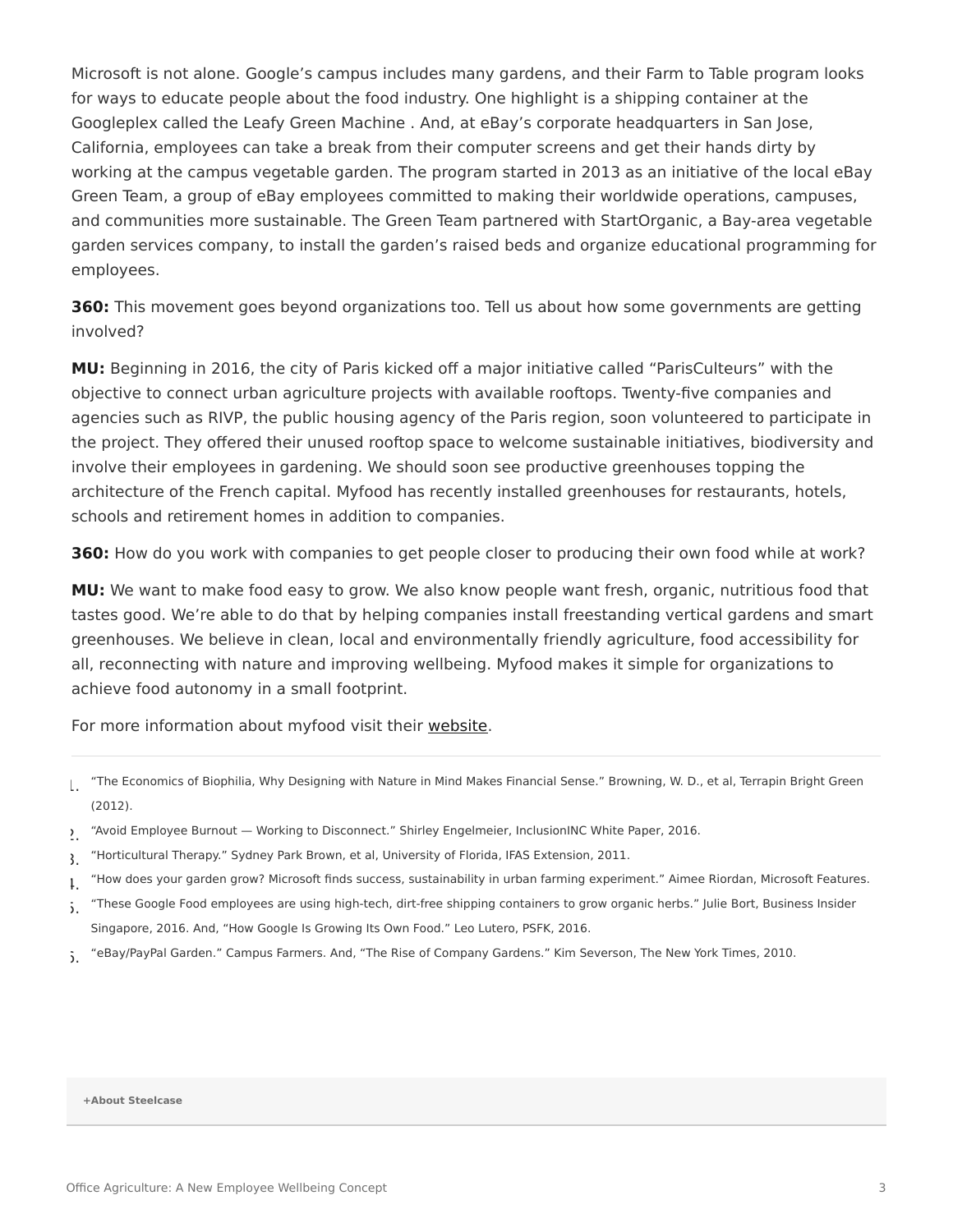Microsoft is not alone. Google's campus includes many gardens, and their Farm to Table program looks for ways to educate people about the food industry. One highlight is a shipping container at the Googleplex called the Leafy Green Machine . And, at eBay's corporate headquarters in San Jose, California, employees can take a break from their computer screens and get their hands dirty by working at the campus vegetable garden. The program started in 2013 as an initiative of the local eBay Green Team, a group of eBay employees committed to making their worldwide operations, campuses, and communities more sustainable. The Green Team partnered with StartOrganic, a Bay-area vegetable garden services company, to install the garden's raised beds and organize educational programming for employees.

**360:** This movement goes beyond organizations too. Tell us about how some governments are getting involved?

**MU:** Beginning in 2016, the city of Paris kicked off a major initiative called "ParisCulteurs" with the objective to connect urban agriculture projects with available rooftops. Twenty-five companies and agencies such as RIVP, the public housing agency of the Paris region, soon volunteered to participate in the project. They offered their unused rooftop space to welcome sustainable initiatives, biodiversity and involve their employees in gardening. We should soon see productive greenhouses topping the architecture of the French capital. Myfood has recently installed greenhouses for restaurants, hotels, schools and retirement homes in addition to companies.

**360:** How do you work with companies to get people closer to producing their own food while at work?

**MU:** We want to make food easy to grow. We also know people want fresh, organic, nutritious food that tastes good. We're able to do that by helping companies install freestanding vertical gardens and smart greenhouses. We believe in clean, local and environmentally friendly agriculture, food accessibility for all, reconnecting with nature and improving wellbeing. Myfood makes it simple for organizations to achieve food autonomy in a small footprint.

For more information about myfood visit their [website](https://myfood.eu/).

- 5. "These Google Food employees are using high-tech, dirt-free shipping containers to grow organic herbs." Julie Bort, Business Insider Singapore, 2016. And, "How Google Is Growing Its Own Food." Leo Lutero, PSFK, 2016.
- 5. "eBay/PayPal Garden." Campus Farmers. And, "The Rise of Company Gardens." Kim Severson, The New York Times, 2010.

**[+About Steelcase](https://www.steelcase.com/discover/steelcase/our-company/)**

<sup>1.</sup> "The Economics of Biophilia, Why Designing with Nature in Mind Makes Financial Sense." Browning, W. D., et al, Terrapin Bright Green (2012).

<sup>2.</sup> "Avoid Employee Burnout — Working to Disconnect." Shirley Engelmeier, InclusionINC White Paper, 2016.

<sup>3.</sup> "Horticultural Therapy." Sydney Park Brown, et al, University of Florida, IFAS Extension, 2011.

 $\mu$  "How does your garden grow? Microsoft finds success, sustainability in urban farming experiment." Aimee Riordan, Microsoft Features.